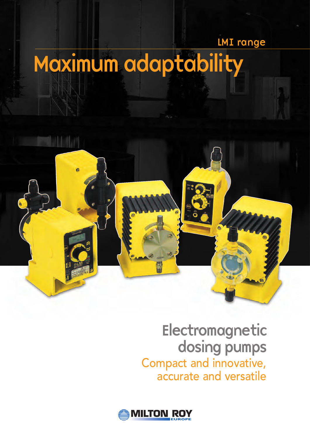### LMI range

# Maximum adaptability



## Electromagnetic dosing pumps Compact and innovative, accurate and versatile

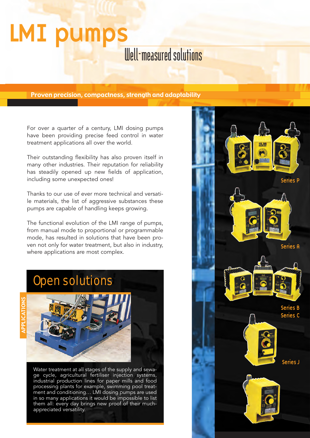# Well-measured solutions LMI pumps

Proven precision, compactness, strength and adaptability

For over a quarter of a century, LMI dosing pumps have been providing precise feed control in water treatment applications all over the world.

Their outstanding flexibility has also proven itself in many other industries. Their reputation for reliability has steadily opened up new fields of application, including some unexpected ones!

Thanks to our use of ever more technical and versatile materials, the list of aggressive substances these pumps are capable of handling keeps growing.

The functional evolution of the LMI range of pumps, from manual mode to proportional or programmable mode, has resulted in solutions that have been proven not only for water treatment, but also in industry, where applications are most complex.

## Open solutions





Water treatment at all stages of the supply and sewage cycle, agricultural fertiliser injection systems, industrial production lines for paper mills and food processing plants for example, swimming pool treatment and conditioning… LMI dosing pumps are used in so many applications it would be impossible to list them all: every day brings new proof of their muchappreciated versatility.

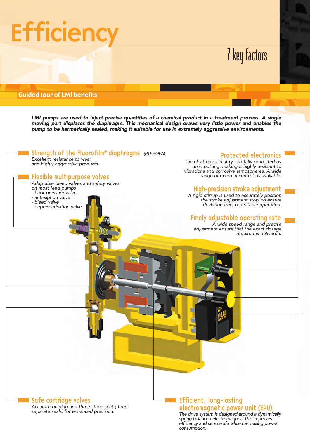# **Efficiency**

# 7 key factors

#### Guided tour of LMI benefits

**LMI pumps are used to inject precise quantities of a chemical product in a treatment process. A single moving part displaces the diaphragm. This mechanical design draws very little power and enables the pump to be hermetically sealed, making it suitable for use in extremely aggressive environments.**



Accurate guiding and three-stage seat (three separate seals) for enhanced precision.

#### Efficient, long-lasting electromagnetic power unit (EPU)

The drive system is designed around a dynamically spring-balanced electromagnet. This improves efficiency and service life while minimising power consumption.